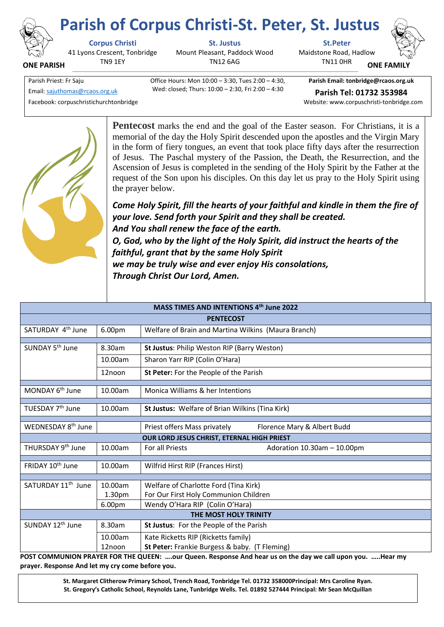

**ONE PARISH**

## **Parish of Corpus Christi-St. Peter, St. Justus**

41 Lyons Crescent, Tonbridge TN9 1EY

Mount Pleasant, Paddock Wood TN12 6AG

**Corpus Christi St. Justus St.Peter** Maidstone Road, Hadlow TN11 0HR



**ONE FAMI** 

Parish Priest: Fr Saju Office Hours: Mon 10:00 – 3:30, Tues 2:00 – 4:30, Wed: closed; Thurs: 10:00 – 2:30, Fri 2:00 – 4:30

**Parish Email: tonbridge@rcaos.org.uk** Email[: sajuthomas@rcaos.org.uk](about:blank) **Parish Tel: 01732 353984**

Facebook: corpuschristichurchtonbridge Website: www.corpuschristi-tonbridge.com



**Pentecost** marks the end and the goal of the Easter season. For Christians, it is a memorial of the day the Holy Spirit descended upon the apostles and the Virgin Mary in the form of fiery tongues, an event that took place fifty days after the resurrection of Jesus. The Paschal mystery of the Passion, the Death, the Resurrection, and the Ascension of Jesus is completed in the sending of the Holy Spirit by the Father at the request of the Son upon his disciples. On this day let us pray to the Holy Spirit using the prayer below.

*Come Holy Spirit, fill the hearts of your faithful and kindle in them the fire of your love. Send forth your Spirit and they shall be created. And You shall renew the face of the earth. O, God, who by the light of the Holy Spirit, did instruct the hearts of the faithful, grant that by the same Holy Spirit we may be truly wise and ever enjoy His consolations,* 

*Through Christ Our Lord, Amen.*

| MASS TIMES AND INTENTIONS 4th June 2022    |         |                                                             |  |
|--------------------------------------------|---------|-------------------------------------------------------------|--|
| <b>PENTECOST</b>                           |         |                                                             |  |
| SATURDAY 4 <sup>th</sup> June              | 6.00pm  | Welfare of Brain and Martina Wilkins (Maura Branch)         |  |
|                                            |         |                                                             |  |
| SUNDAY 5 <sup>th</sup> June                | 8.30am  | St Justus: Philip Weston RIP (Barry Weston)                 |  |
|                                            | 10.00am | Sharon Yarr RIP (Colin O'Hara)                              |  |
|                                            | 12noon  | St Peter: For the People of the Parish                      |  |
|                                            |         |                                                             |  |
| MONDAY 6 <sup>th</sup> June                | 10.00am | Monica Williams & her Intentions                            |  |
|                                            |         |                                                             |  |
| TUESDAY 7 <sup>th</sup> June               | 10.00am | St Justus: Welfare of Brian Wilkins (Tina Kirk)             |  |
| WEDNESDAY 8 <sup>th</sup> June             |         |                                                             |  |
|                                            |         | Priest offers Mass privately<br>Florence Mary & Albert Budd |  |
| OUR LORD JESUS CHRIST, ETERNAL HIGH PRIEST |         |                                                             |  |
| THURSDAY 9 <sup>th</sup> June              | 10.00am | For all Priests<br>Adoration $10.30$ am $-10.00$ pm         |  |
|                                            |         |                                                             |  |
| FRIDAY 10 <sup>th</sup> June               | 10.00am | Wilfrid Hirst RIP (Frances Hirst)                           |  |
|                                            |         |                                                             |  |
| SATURDAY 11 <sup>th</sup> June             | 10.00am | Welfare of Charlotte Ford (Tina Kirk)                       |  |
|                                            | 1.30pm  | For Our First Holy Communion Children                       |  |
|                                            | 6.00pm  | Wendy O'Hara RIP (Colin O'Hara)                             |  |
| THE MOST HOLY TRINITY                      |         |                                                             |  |
| SUNDAY 12 <sup>th</sup> June               | 8.30am  | St Justus: For the People of the Parish                     |  |
|                                            | 10.00am | Kate Ricketts RIP (Ricketts family)                         |  |
|                                            | 12noon  | St Peter: Frankie Burgess & baby. (T Fleming)               |  |

**POST COMMUNION PRAYER FOR THE QUEEN: ….our Queen. Response And hear us on the day we call upon you. …..Hear my prayer. Response And let my cry come before you.** 

> **St. Margaret Clitherow Primary School, Trench Road, Tonbridge Tel. 01732 358000Principal: Mrs Caroline Ryan. St. Gregory's Catholic School, Reynolds Lane, Tunbridge Wells. Tel. 01892 527444 Principal: Mr Sean McQuillan**